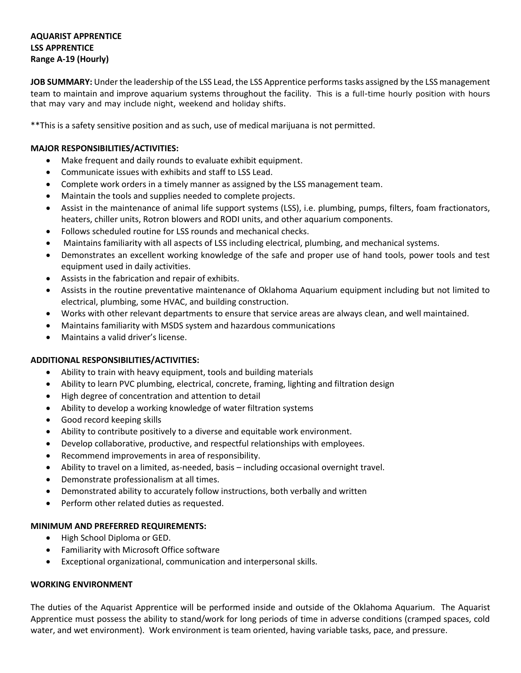# **AQUARIST APPRENTICE LSS APPRENTICE Range A-19 (Hourly)**

**JOB SUMMARY:** Under the leadership of the LSS Lead, the LSS Apprentice performs tasks assigned by the LSS management team to maintain and improve aquarium systems throughout the facility. This is a full-time hourly position with hours that may vary and may include night, weekend and holiday shifts.

\*\*This is a safety sensitive position and as such, use of medical marijuana is not permitted.

# **MAJOR RESPONSIBILITIES/ACTIVITIES:**

- Make frequent and daily rounds to evaluate exhibit equipment.
- Communicate issues with exhibits and staff to LSS Lead.
- Complete work orders in a timely manner as assigned by the LSS management team.
- Maintain the tools and supplies needed to complete projects.
- Assist in the maintenance of animal life support systems (LSS), i.e. plumbing, pumps, filters, foam fractionators, heaters, chiller units, Rotron blowers and RODI units, and other aquarium components.
- Follows scheduled routine for LSS rounds and mechanical checks.
- Maintains familiarity with all aspects of LSS including electrical, plumbing, and mechanical systems.
- Demonstrates an excellent working knowledge of the safe and proper use of hand tools, power tools and test equipment used in daily activities.
- Assists in the fabrication and repair of exhibits.
- Assists in the routine preventative maintenance of Oklahoma Aquarium equipment including but not limited to electrical, plumbing, some HVAC, and building construction.
- Works with other relevant departments to ensure that service areas are always clean, and well maintained.
- Maintains familiarity with MSDS system and hazardous communications
- Maintains a valid driver's license.

### **ADDITIONAL RESPONSIBILITIES/ACTIVITIES:**

- Ability to train with heavy equipment, tools and building materials
- Ability to learn PVC plumbing, electrical, concrete, framing, lighting and filtration design
- High degree of concentration and attention to detail
- Ability to develop a working knowledge of water filtration systems
- Good record keeping skills
- Ability to contribute positively to a diverse and equitable work environment.
- Develop collaborative, productive, and respectful relationships with employees.
- Recommend improvements in area of responsibility.
- Ability to travel on a limited, as-needed, basis including occasional overnight travel.
- Demonstrate professionalism at all times.
- Demonstrated ability to accurately follow instructions, both verbally and written
- Perform other related duties as requested.

### **MINIMUM AND PREFERRED REQUIREMENTS:**

- High School Diploma or GED.
- Familiarity with Microsoft Office software
- Exceptional organizational, communication and interpersonal skills.

### **WORKING ENVIRONMENT**

The duties of the Aquarist Apprentice will be performed inside and outside of the Oklahoma Aquarium. The Aquarist Apprentice must possess the ability to stand/work for long periods of time in adverse conditions (cramped spaces, cold water, and wet environment). Work environment is team oriented, having variable tasks, pace, and pressure.